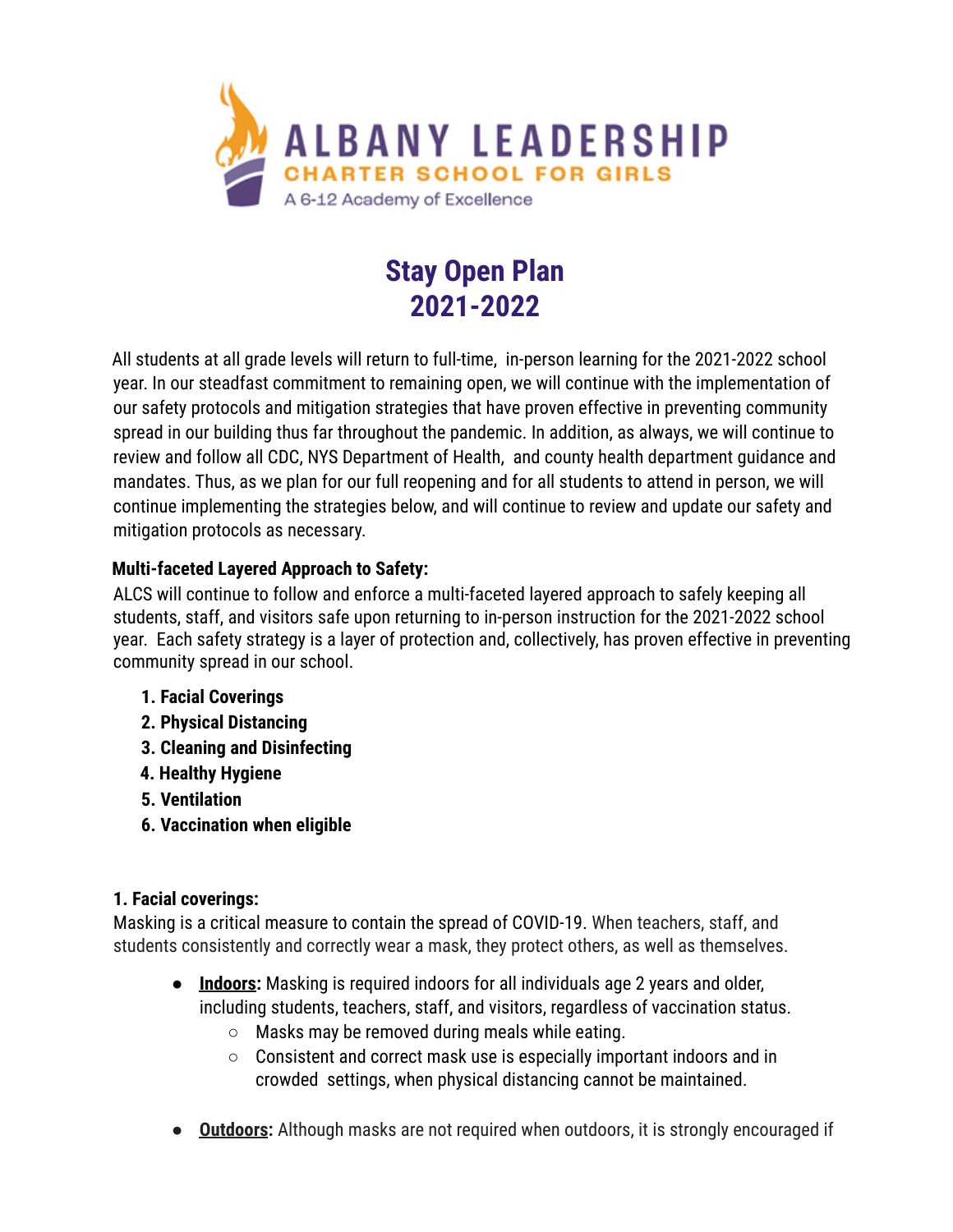

# **Stay Open Plan 2021-2022**

All students at all grade levels will return to full-time, in-person learning for the 2021-2022 school year. In our steadfast commitment to remaining open, we will continue with the implementation of our safety protocols and mitigation strategies that have proven effective in preventing community spread in our building thus far throughout the pandemic. In addition, as always, we will continue to review and follow all CDC, NYS Department of Health, and county health department guidance and mandates. Thus, as we plan for our full reopening and for all students to attend in person, we will continue implementing the strategies below, and will continue to review and update our safety and mitigation protocols as necessary.

#### **Multi-faceted Layered Approach to Safety:**

ALCS will continue to follow and enforce a multi-faceted layered approach to safely keeping all students, staff, and visitors safe upon returning to in-person instruction for the 2021-2022 school year. Each safety strategy is a layer of protection and, collectively, has proven effective in preventing community spread in our school.

- **1. Facial Coverings**
- **2. Physical Distancing**
- **3. Cleaning and Disinfecting**
- **4. Healthy Hygiene**
- **5. Ventilation**
- **6. Vaccination when eligible**

#### **1. Facial coverings:**

Masking is a critical measure to contain the spread of COVID-19. When teachers, staff, and students consistently and correctly wear a mask, they protect others, as well as themselves.

- **Indoors:** Masking is required indoors for all individuals age 2 years and older, including students, teachers, staff, and visitors, regardless of vaccination status.
	- Masks may be removed during meals while eating.
	- Consistent and correct mask use is especially important indoors and in crowded settings, when physical distancing cannot be maintained.
- **Outdoors:** Although masks are not required when outdoors, it is strongly encouraged if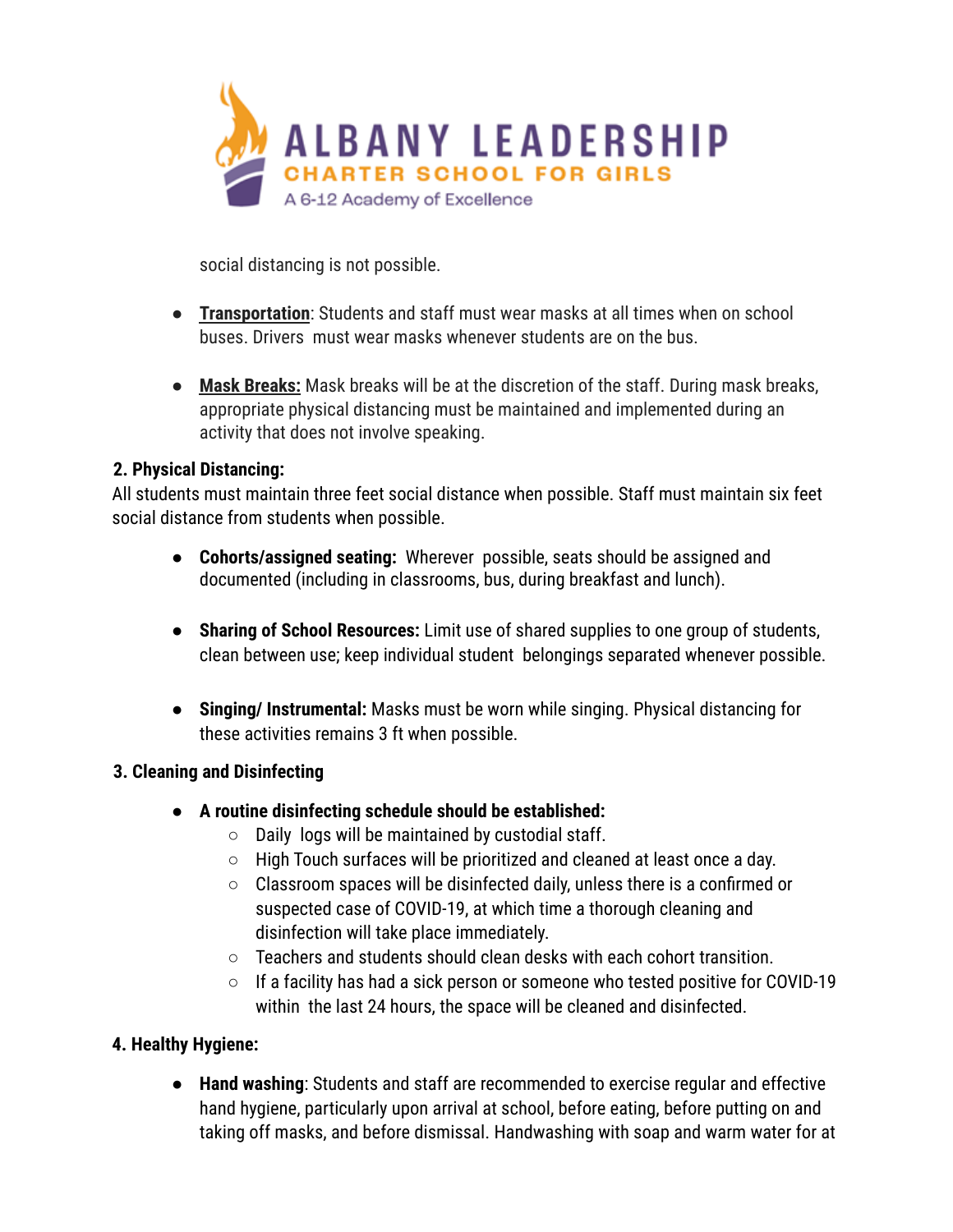

social distancing is not possible.

- **Transportation**: Students and staff must wear masks at all times when on school buses. Drivers must wear masks whenever students are on the bus.
- **Mask Breaks:** Mask breaks will be at the discretion of the staff. During mask breaks, appropriate physical distancing must be maintained and implemented during an activity that does not involve speaking.

#### **2. Physical Distancing:**

All students must maintain three feet social distance when possible. Staff must maintain six feet social distance from students when possible.

- **● Cohorts/assigned seating:** Wherever possible, seats should be assigned and documented (including in classrooms, bus, during breakfast and lunch).
- **Sharing of School Resources:** Limit use of shared supplies to one group of students, clean between use; keep individual student belongings separated whenever possible.
- **Singing/ Instrumental:** Masks must be worn while singing. Physical distancing for these activities remains 3 ft when possible.

#### **3. Cleaning and Disinfecting**

- **A routine disinfecting schedule should be established:**
	- Daily logs will be maintained by custodial staff.
	- High Touch surfaces will be prioritized and cleaned at least once a day.
	- Classroom spaces will be disinfected daily, unless there is a confirmed or suspected case of COVID-19, at which time a thorough cleaning and disinfection will take place immediately.
	- $\circ$  Teachers and students should clean desks with each cohort transition.
	- If a facility has had a sick person or someone who tested positive for COVID-19 within the last 24 hours, the space will be cleaned and disinfected.

# **4. Healthy Hygiene:**

● **Hand washing**: Students and staff are recommended to exercise regular and effective hand hygiene, particularly upon arrival at school, before eating, before putting on and taking off masks, and before dismissal. Handwashing with soap and warm water for at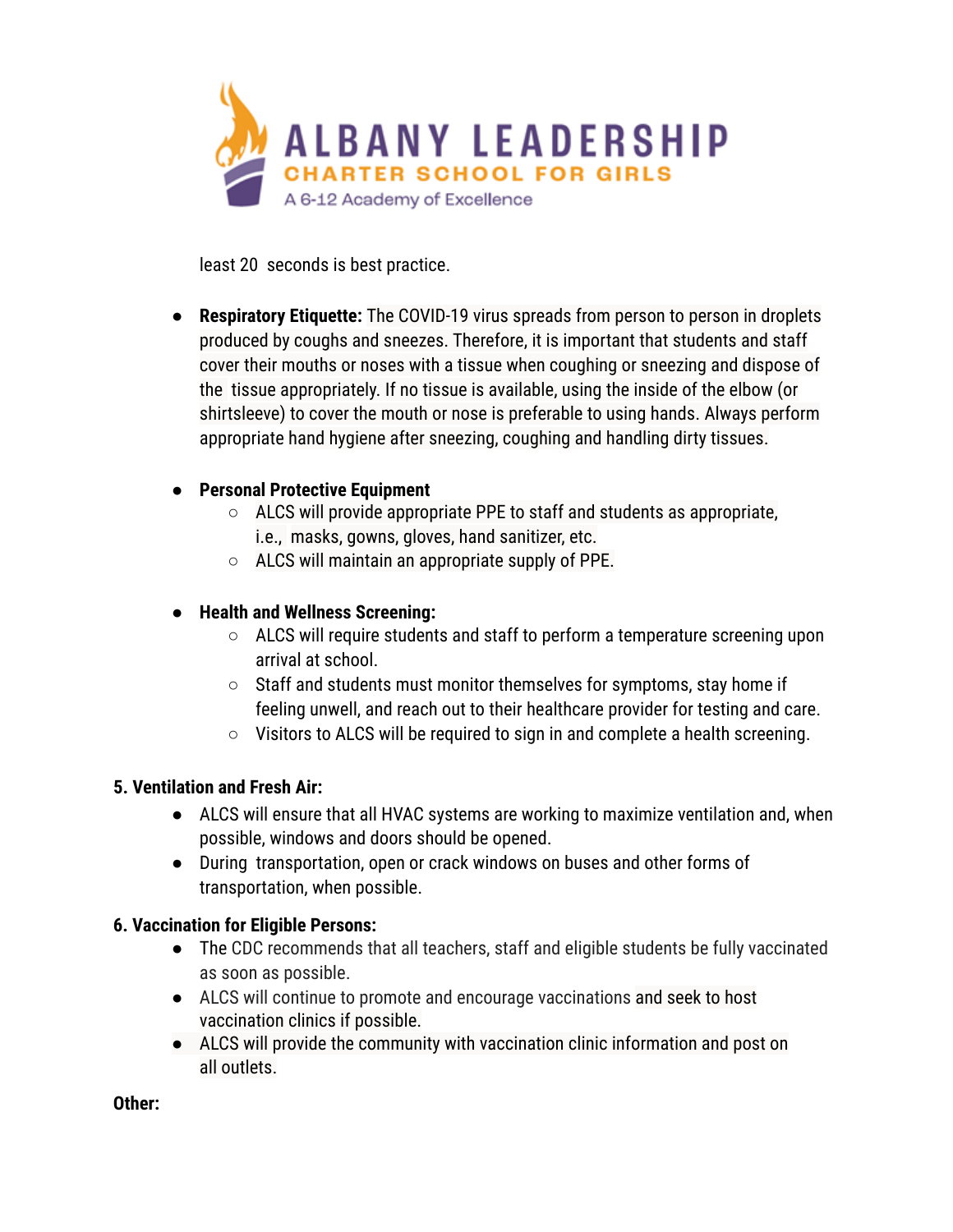

least 20 seconds is best practice.

● **Respiratory Etiquette:** The COVID-19 virus spreads from person to person in droplets produced by coughs and sneezes. Therefore, it is important that students and staff cover their mouths or noses with a tissue when coughing or sneezing and dispose of the tissue appropriately. If no tissue is available, using the inside of the elbow (or shirtsleeve) to cover the mouth or nose is preferable to using hands. Always perform appropriate hand hygiene after sneezing, coughing and handling dirty tissues.

#### **● Personal Protective Equipment**

- ALCS will provide appropriate PPE to staff and students as appropriate, i.e., masks, gowns, gloves, hand sanitizer, etc.
- ALCS will maintain an appropriate supply of PPE.

#### **● Health and Wellness Screening:**

- ALCS will require students and staff to perform a temperature screening upon arrival at school.
- Staff and students must monitor themselves for symptoms, stay home if feeling unwell, and reach out to their healthcare provider for testing and care.
- Visitors to ALCS will be required to sign in and complete a health screening.

#### **5. Ventilation and Fresh Air:**

- ALCS will ensure that all HVAC systems are working to maximize ventilation and, when possible, windows and doors should be opened.
- During transportation, open or crack windows on buses and other forms of transportation, when possible.

#### **6. Vaccination for Eligible Persons:**

- The CDC recommends that all teachers, staff and eligible students be fully vaccinated as soon as possible.
- ALCS will continue to promote and encourage vaccinations and seek to host vaccination clinics if possible.
- ALCS will provide the community with vaccination clinic information and post on all outlets.

**Other:**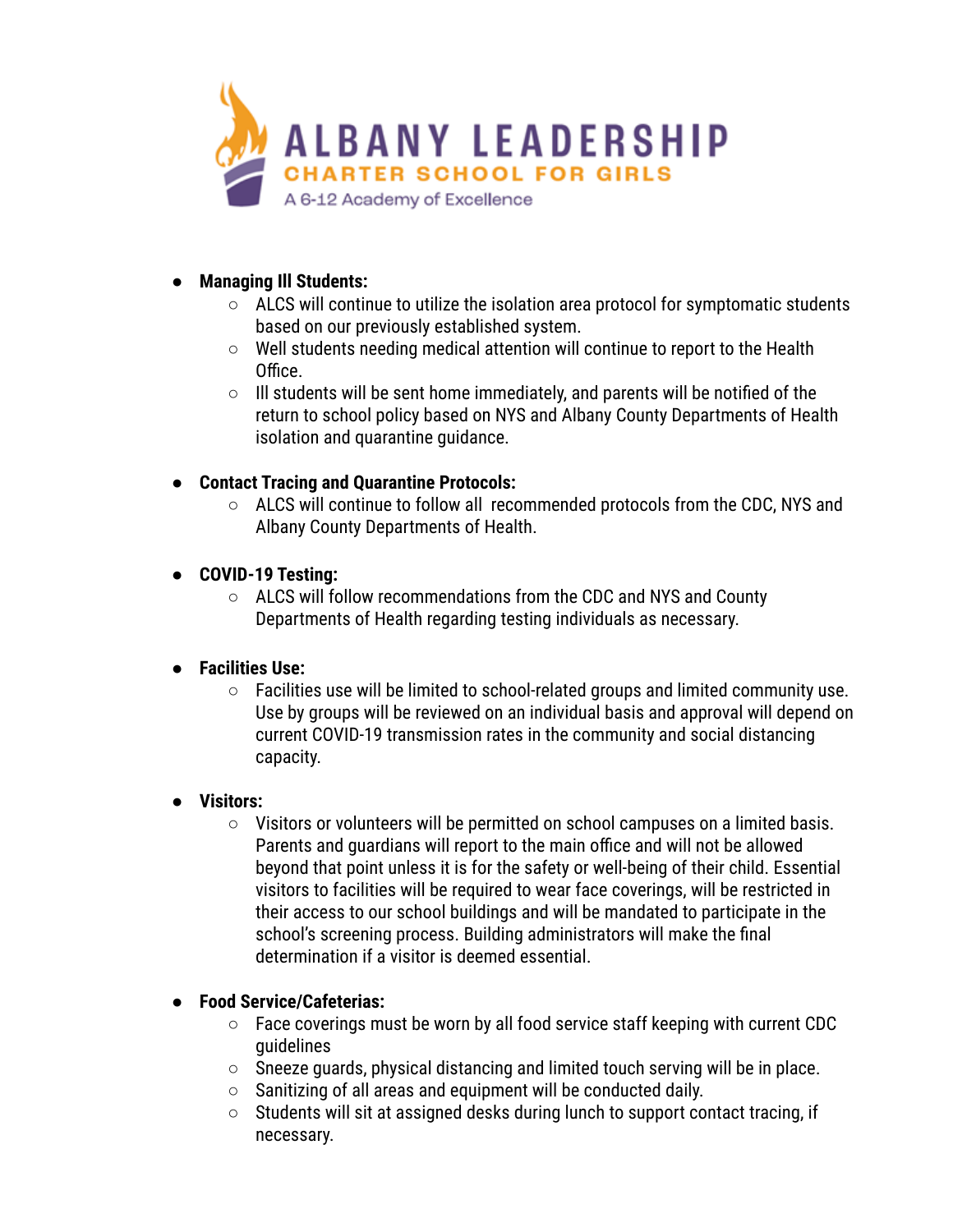

- **● Managing Ill Students:**
	- **○** ALCS will continue to utilize the isolation area protocol for symptomatic students based on our previously established system.
	- **○** Well students needing medical attention will continue to report to the Health Office.
	- **○** Ill students will be sent home immediately, and parents will be notified of the return to school policy based on NYS and Albany County Departments of Health isolation and quarantine guidance.
- **● Contact Tracing and Quarantine Protocols:**
	- **○** ALCS will continue to follow all recommended protocols from the CDC, NYS and Albany County Departments of Health.
- **● COVID-19 Testing:**
	- **○** ALCS will follow recommendations from the CDC and NYS and County Departments of Health regarding testing individuals as necessary.

# **● Facilities Use:**

**○** Facilities use will be limited to school-related groups and limited community use. Use by groups will be reviewed on an individual basis and approval will depend on current COVID-19 transmission rates in the community and social distancing capacity.

# **● Visitors:**

**○** Visitors or volunteers will be permitted on school campuses on a limited basis. Parents and guardians will report to the main office and will not be allowed beyond that point unless it is for the safety or well-being of their child. Essential visitors to facilities will be required to wear face coverings, will be restricted in their access to our school buildings and will be mandated to participate in the school's screening process. Building administrators will make the final determination if a visitor is deemed essential.

# **● Food Service/Cafeterias:**

- **○** Face coverings must be worn by all food service staff keeping with current CDC guidelines
- Sneeze guards, physical distancing and limited touch serving will be in place.
- Sanitizing of all areas and equipment will be conducted daily.
- $\circ$  Students will sit at assigned desks during lunch to support contact tracing, if necessary.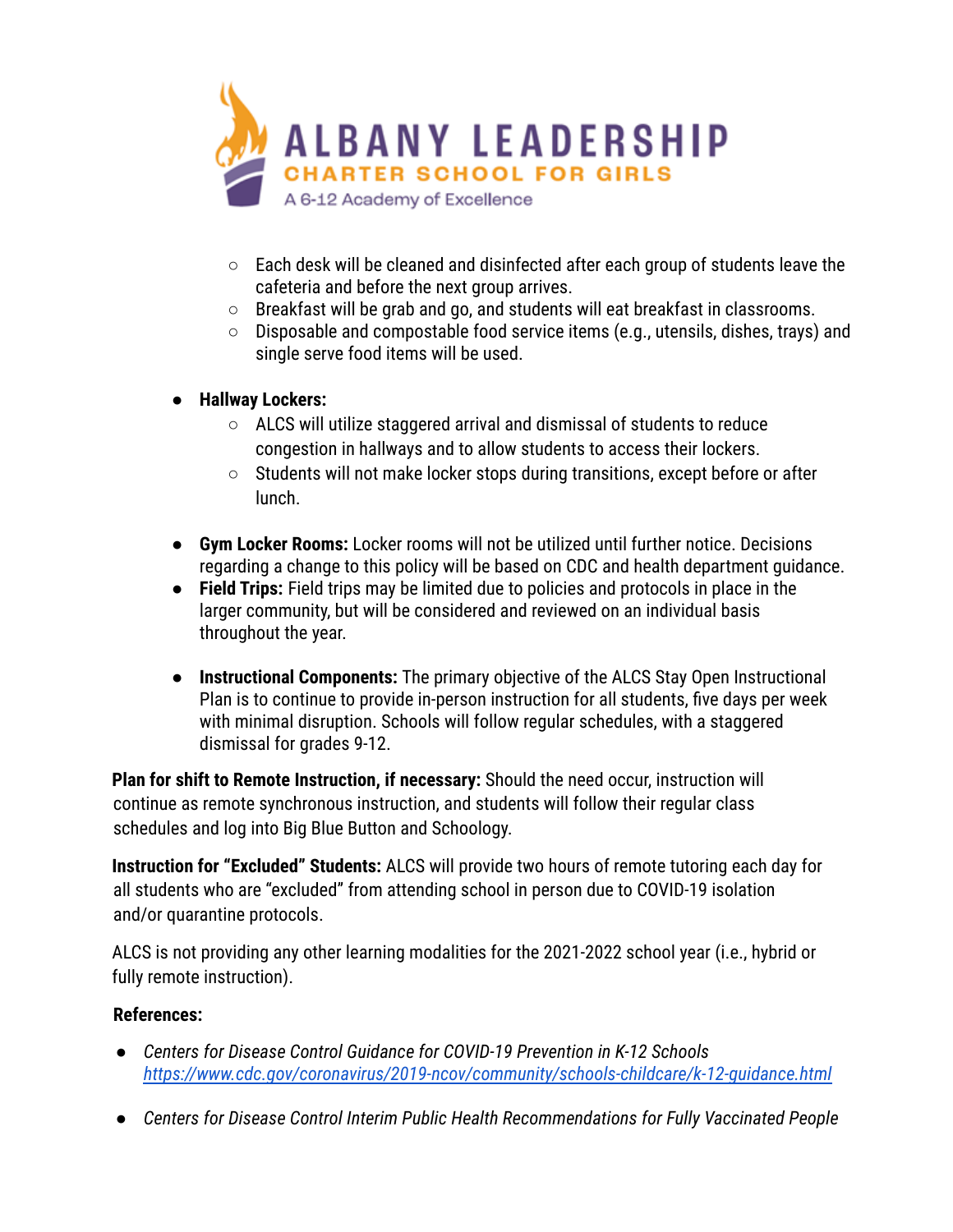

- Each desk will be cleaned and disinfected after each group of students leave the cafeteria and before the next group arrives.
- Breakfast will be grab and go, and students will eat breakfast in classrooms.
- Disposable and compostable food service items (e.g., utensils, dishes, trays) and single serve food items will be used.
- **Hallway Lockers:**
	- ALCS will utilize staggered arrival and dismissal of students to reduce congestion in hallways and to allow students to access their lockers.
	- Students will not make locker stops during transitions, except before or after lunch.
- **Gym Locker Rooms:** Locker rooms will not be utilized until further notice. Decisions regarding a change to this policy will be based on CDC and health department guidance.
- **Field Trips:** Field trips may be limited due to policies and protocols in place in the larger community, but will be considered and reviewed on an individual basis throughout the year.
- **Instructional Components:** The primary objective of the ALCS Stay Open Instructional Plan is to continue to provide in-person instruction for all students, five days per week with minimal disruption. Schools will follow regular schedules, with a staggered dismissal for grades 9-12.

**Plan for shift to Remote Instruction, if necessary:** Should the need occur, instruction will continue as remote synchronous instruction, and students will follow their regular class schedules and log into Big Blue Button and Schoology.

**Instruction for "Excluded" Students:** ALCS will provide two hours of remote tutoring each day for all students who are "excluded" from attending school in person due to COVID-19 isolation and/or quarantine protocols.

ALCS is not providing any other learning modalities for the 2021-2022 school year (i.e., hybrid or fully remote instruction).

#### **References:**

- *● Centers for Disease Control Guidance for COVID-19 Prevention in K-12 Schools <https://www.cdc.gov/coronavirus/2019-ncov/community/schools-childcare/k-12-guidance.html>*
- *● Centers for Disease Control Interim Public Health Recommendations for Fully Vaccinated People*